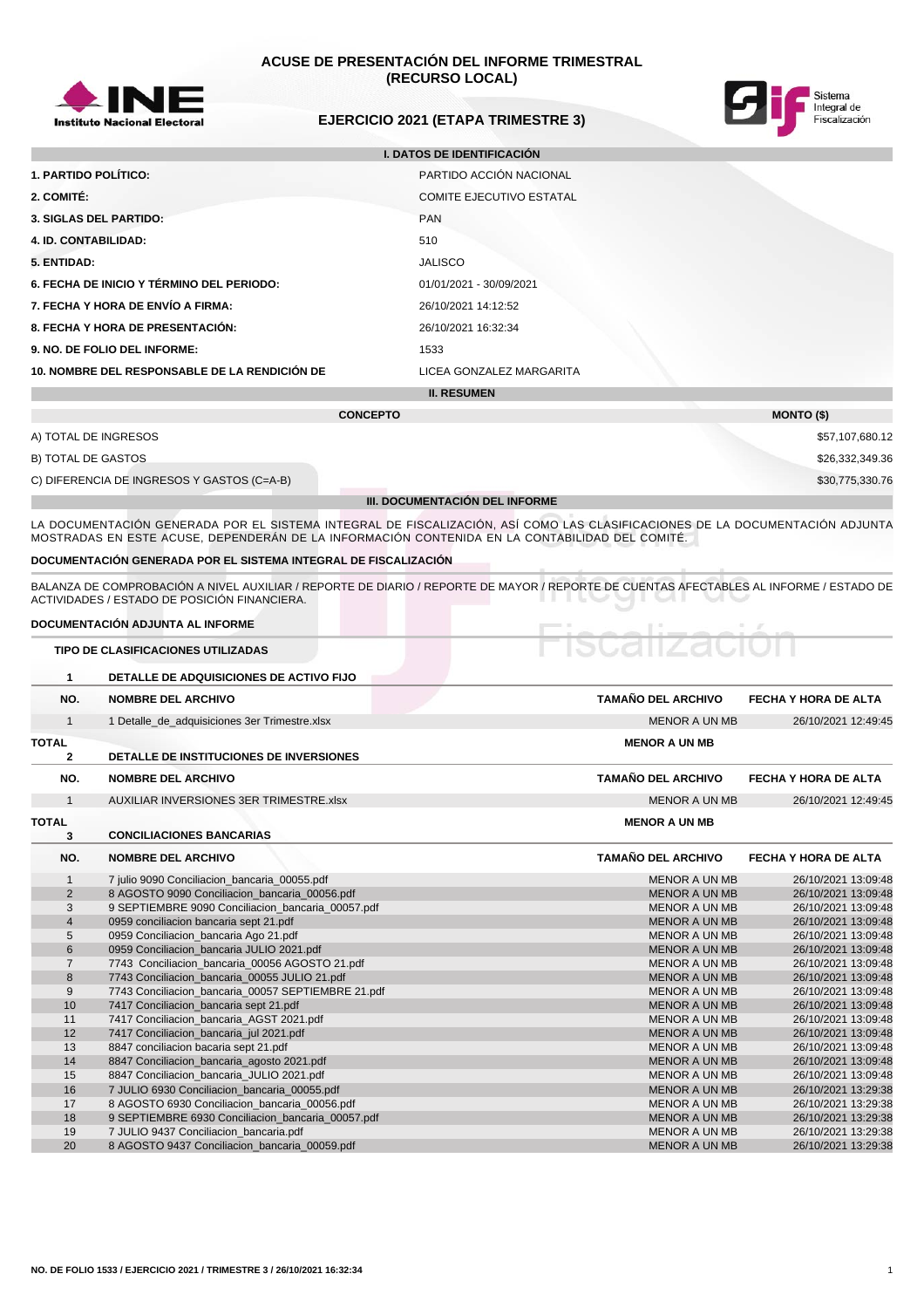

# **ACUSE DE PRESENTACIÓN DEL INFORME TRIMESTRAL (RECURSO LOCAL)**



# **EJERCICIO 2021 (ETAPA TRIMESTRE 3)**

| <b>I. DATOS DE IDENTIFICACIÓN</b>             |                                 |  |  |  |  |
|-----------------------------------------------|---------------------------------|--|--|--|--|
| 1. PARTIDO POLÍTICO:                          | PARTIDO ACCIÓN NACIONAL         |  |  |  |  |
| 2. COMITÉ:                                    | <b>COMITE EJECUTIVO ESTATAL</b> |  |  |  |  |
| <b>3. SIGLAS DEL PARTIDO:</b>                 | <b>PAN</b>                      |  |  |  |  |
| <b>4. ID. CONTABILIDAD:</b>                   | 510                             |  |  |  |  |
| 5. ENTIDAD:                                   | <b>JALISCO</b>                  |  |  |  |  |
| 6. FECHA DE INICIO Y TÉRMINO DEL PERIODO:     | 01/01/2021 - 30/09/2021         |  |  |  |  |
| 7. FECHA Y HORA DE ENVÍO A FIRMA:             | 26/10/2021 14:12:52             |  |  |  |  |
| 8. FECHA Y HORA DE PRESENTACIÓN:              | 26/10/2021 16:32:34             |  |  |  |  |
| 9. NO. DE FOLIO DEL INFORME:                  | 1533                            |  |  |  |  |
| 10. NOMBRE DEL RESPONSABLE DE LA RENDICIÓN DE | LICEA GONZALEZ MARGARITA        |  |  |  |  |
| <b>II. RESUMEN</b>                            |                                 |  |  |  |  |
|                                               |                                 |  |  |  |  |

|                                            | <b>CONCEPTO</b>                       | <b>MONTO (\$)</b> |
|--------------------------------------------|---------------------------------------|-------------------|
| A) TOTAL DE INGRESOS                       |                                       | \$57,107,680.12   |
| B) TOTAL DE GASTOS                         |                                       | \$26,332,349.36   |
| C) DIFERENCIA DE INGRESOS Y GASTOS (C=A-B) |                                       | \$30,775,330.76   |
|                                            | <b>III. DOCUMENTACIÓN DEL INFORME</b> |                   |

LA DOCUMENTACION GENERADA POR EL SISTEMA INTEGRAL DE FISCALIZACION, ASI COMO LAS CLASIFICACIONES DE LA DOCUMENTACION ADJUNTA MOSTRADAS EN ESTE ACUSE, DEPENDERÁN DE LA INFORMACIÓN CONTENIDA EN LA CONTABILIDAD DEL COMITÉ.

#### **DOCUMENTACIÓN GENERADA POR EL SISTEMA INTEGRAL DE FISCALIZACIÓN**

BALANZA DE COMPROBACIÓN A NIVEL AUXILIAR / REPORTE DE DIARIO / REPORTE DE MAYOR / REPORTE DE CUENTAS AFECTABLES AL INFORME / ESTADO DE ACTIVIDADES / ESTADO DE POSICIÓN FINANCIERA.

### **DOCUMENTACIÓN ADJUNTA AL INFORME**

| <b>TIPO DE CLASIFICACIONES UTILIZADAS</b> |
|-------------------------------------------|
|-------------------------------------------|

| $\mathbf{1}$   | DETALLE DE ADQUISICIONES DE ACTIVO FIJO            |                           |                             |
|----------------|----------------------------------------------------|---------------------------|-----------------------------|
| NO.            | <b>NOMBRE DEL ARCHIVO</b>                          | <b>TAMAÑO DEL ARCHIVO</b> | <b>FECHA Y HORA DE ALTA</b> |
| $\mathbf{1}$   | 1 Detalle de adquisiciones 3er Trimestre.xlsx      | <b>MENOR A UN MB</b>      | 26/10/2021 12:49:45         |
| <b>TOTAL</b>   |                                                    | <b>MENOR A UN MB</b>      |                             |
| $\mathbf{2}$   | DETALLE DE INSTITUCIONES DE INVERSIONES            |                           |                             |
| NO.            | <b>NOMBRE DEL ARCHIVO</b>                          | <b>TAMAÑO DEL ARCHIVO</b> | FECHA Y HORA DE ALTA        |
| $\mathbf{1}$   | AUXILIAR INVERSIONES 3ER TRIMESTRE.xlsx            | <b>MENOR A UN MB</b>      | 26/10/2021 12:49:45         |
| <b>TOTAL</b>   |                                                    | <b>MENOR A UN MB</b>      |                             |
| 3              | <b>CONCILIACIONES BANCARIAS</b>                    |                           |                             |
| NO.            | <b>NOMBRE DEL ARCHIVO</b>                          | <b>TAMAÑO DEL ARCHIVO</b> | FECHA Y HORA DE ALTA        |
| $\mathbf{1}$   | 7 julio 9090 Conciliacion_bancaria_00055.pdf       | <b>MENOR A UN MB</b>      | 26/10/2021 13:09:48         |
| $\overline{2}$ | 8 AGOSTO 9090 Conciliacion_bancaria_00056.pdf      | <b>MENOR A UN MB</b>      | 26/10/2021 13:09:48         |
| 3              | 9 SEPTIEMBRE 9090 Conciliacion_bancaria_00057.pdf  | <b>MENOR A UN MB</b>      | 26/10/2021 13:09:48         |
| $\overline{4}$ | 0959 conciliacion bancaria sept 21.pdf             | <b>MENOR A UN MB</b>      | 26/10/2021 13:09:48         |
| 5              | 0959 Conciliacion_bancaria Ago 21.pdf              | <b>MENOR A UN MB</b>      | 26/10/2021 13:09:48         |
| 6              | 0959 Conciliacion bancaria JULIO 2021.pdf          | <b>MENOR A UN MB</b>      | 26/10/2021 13:09:48         |
| $\overline{7}$ | 7743 Conciliacion_bancaria_00056 AGOSTO 21.pdf     | <b>MENOR A UN MB</b>      | 26/10/2021 13:09:48         |
| 8              | 7743 Conciliacion_bancaria_00055 JULIO 21.pdf      | <b>MENOR A UN MB</b>      | 26/10/2021 13:09:48         |
| 9              | 7743 Conciliacion bancaria 00057 SEPTIEMBRE 21.pdf | <b>MENOR A UN MB</b>      | 26/10/2021 13:09:48         |
| 10             | 7417 Conciliacion bancaria sept 21.pdf             | <b>MENOR A UN MB</b>      | 26/10/2021 13:09:48         |
| 11             | 7417 Conciliacion_bancaria_AGST 2021.pdf           | <b>MENOR A UN MB</b>      | 26/10/2021 13:09:48         |
| 12             | 7417 Conciliacion bancaria jul 2021.pdf            | <b>MENOR A UN MB</b>      | 26/10/2021 13:09:48         |
| 13             | 8847 conciliacion bacaria sept 21.pdf              | <b>MENOR A UN MB</b>      | 26/10/2021 13:09:48         |
| 14             | 8847 Conciliacion bancaria agosto 2021.pdf         | <b>MENOR A UN MB</b>      | 26/10/2021 13:09:48         |
| 15             | 8847 Conciliacion_bancaria_JULIO 2021.pdf          | <b>MENOR A UN MB</b>      | 26/10/2021 13:09:48         |
| 16             | 7 JULIO 6930 Conciliacion_bancaria_00055.pdf       | <b>MENOR A UN MB</b>      | 26/10/2021 13:29:38         |
| 17             | 8 AGOSTO 6930 Conciliacion_bancaria_00056.pdf      | <b>MENOR A UN MB</b>      | 26/10/2021 13:29:38         |
| 18             | 9 SEPTIEMBRE 6930 Conciliacion bancaria 00057.pdf  | <b>MENOR A UN MB</b>      | 26/10/2021 13:29:38         |
| 19             | 7 JULIO 9437 Conciliacion_bancaria.pdf             | <b>MENOR A UN MB</b>      | 26/10/2021 13:29:38         |
| 20             | 8 AGOSTO 9437 Conciliacion_bancaria_00059.pdf      | <b>MENOR A UN MB</b>      | 26/10/2021 13:29:38         |